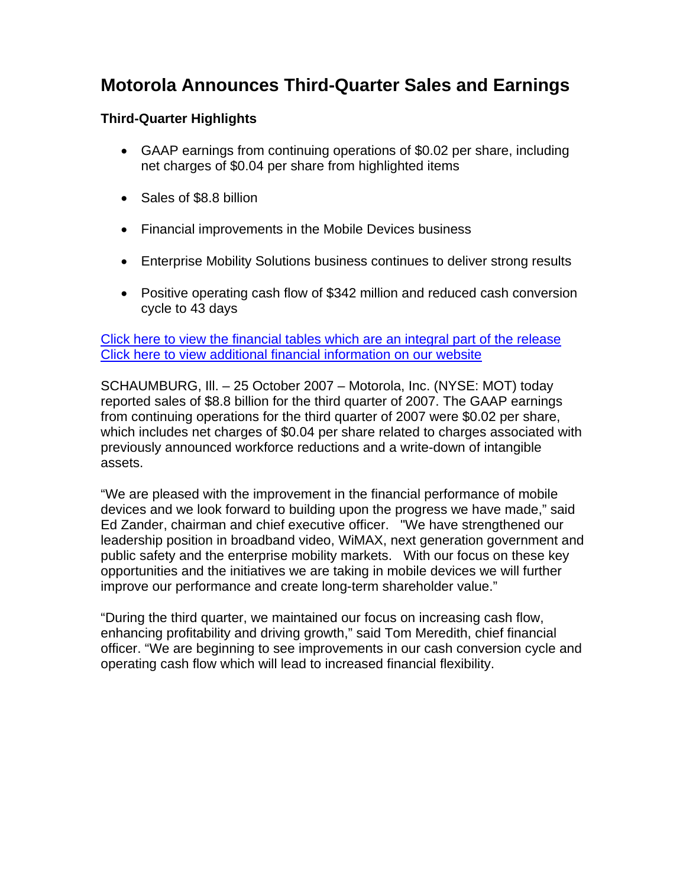# **Motorola Announces Third-Quarter Sales and Earnings**

## **Third-Quarter Highlights**

- GAAP earnings from continuing operations of \$0.02 per share, including net charges of \$0.04 per share from highlighted items
- Sales of \$8.8 billion
- Financial improvements in the Mobile Devices business
- Enterprise Mobility Solutions business continues to deliver strong results
- Positive operating cash flow of \$342 million and reduced cash conversion cycle to 43 days

Click here to view the financial tables which are an integral part of the release Click here to view additional financial information on our website

SCHAUMBURG, Ill. – 25 October 2007 – Motorola, Inc. (NYSE: MOT) today reported sales of \$8.8 billion for the third quarter of 2007. The GAAP earnings from continuing operations for the third quarter of 2007 were \$0.02 per share, which includes net charges of \$0.04 per share related to charges associated with previously announced workforce reductions and a write-down of intangible assets.

"We are pleased with the improvement in the financial performance of mobile devices and we look forward to building upon the progress we have made," said Ed Zander, chairman and chief executive officer. "We have strengthened our leadership position in broadband video, WiMAX, next generation government and public safety and the enterprise mobility markets. With our focus on these key opportunities and the initiatives we are taking in mobile devices we will further improve our performance and create long-term shareholder value."

"During the third quarter, we maintained our focus on increasing cash flow, enhancing profitability and driving growth," said Tom Meredith, chief financial officer. "We are beginning to see improvements in our cash conversion cycle and operating cash flow which will lead to increased financial flexibility.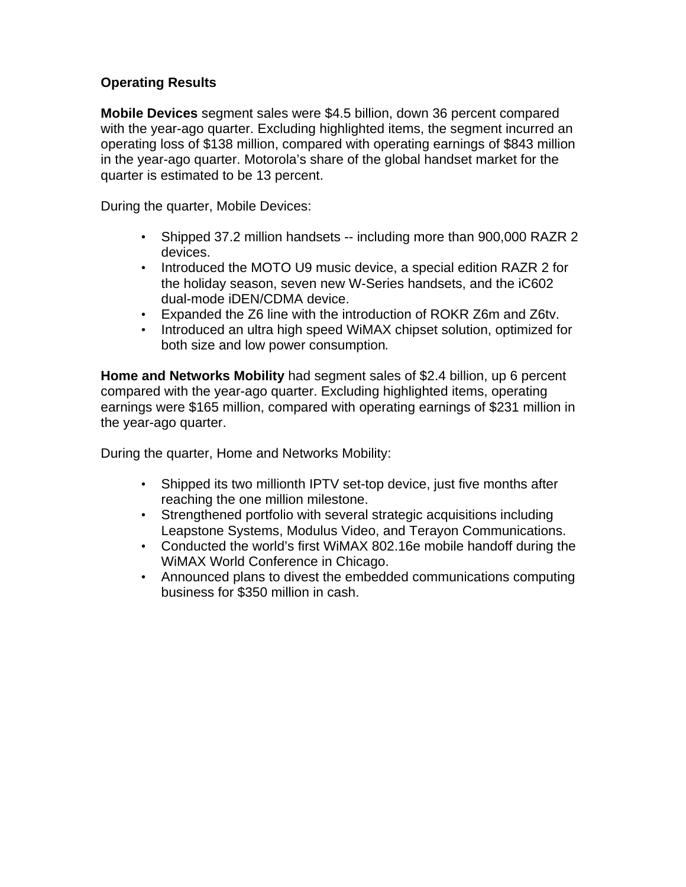## **Operating Results**

**Mobile Devices** segment sales were \$4.5 billion, down 36 percent compared with the year-ago quarter. Excluding highlighted items, the segment incurred an operating loss of \$138 million, compared with operating earnings of \$843 million in the year-ago quarter. Motorola's share of the global handset market for the quarter is estimated to be 13 percent.

During the quarter, Mobile Devices:

- Shipped 37.2 million handsets -- including more than 900,000 RAZR 2 devices.
- Introduced the MOTO U9 music device, a special edition RAZR 2 for the holiday season, seven new W-Series handsets, and the iC602 dual-mode iDEN/CDMA device.
- Expanded the Z6 line with the introduction of ROKR Z6m and Z6tv.
- Introduced an ultra high speed WiMAX chipset solution, optimized for both size and low power consumption*.*

**Home and Networks Mobility** had segment sales of \$2.4 billion, up 6 percent compared with the year-ago quarter. Excluding highlighted items, operating earnings were \$165 million, compared with operating earnings of \$231 million in the year-ago quarter.

During the quarter, Home and Networks Mobility:

- Shipped its two millionth IPTV set-top device, just five months after reaching the one million milestone.
- Strengthened portfolio with several strategic acquisitions including Leapstone Systems, Modulus Video, and Terayon Communications.
- Conducted the world's first WiMAX 802.16e mobile handoff during the WiMAX World Conference in Chicago.
- Announced plans to divest the embedded communications computing business for \$350 million in cash.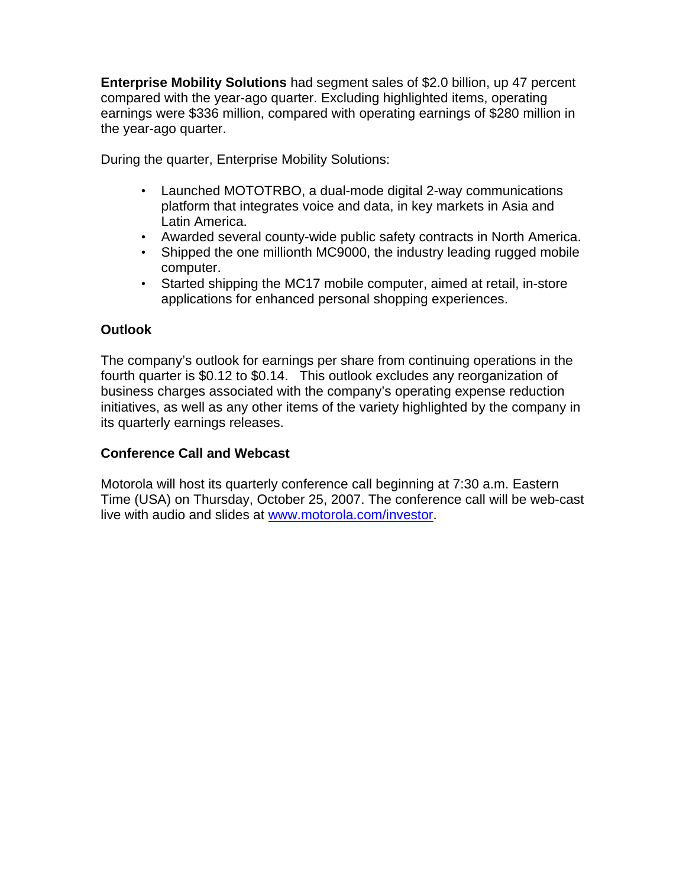**Enterprise Mobility Solutions** had segment sales of \$2.0 billion, up 47 percent compared with the year-ago quarter. Excluding highlighted items, operating earnings were \$336 million, compared with operating earnings of \$280 million in the year-ago quarter.

During the quarter, Enterprise Mobility Solutions:

- Launched MOTOTRBO, a dual-mode digital 2-way communications platform that integrates voice and data, in key markets in Asia and Latin America.
- Awarded several county-wide public safety contracts in North America.
- Shipped the one millionth MC9000, the industry leading rugged mobile computer.
- Started shipping the MC17 mobile computer, aimed at retail, in-store applications for enhanced personal shopping experiences.

## **Outlook**

The company's outlook for earnings per share from continuing operations in the fourth quarter is \$0.12 to \$0.14. This outlook excludes any reorganization of business charges associated with the company's operating expense reduction initiatives, as well as any other items of the variety highlighted by the company in its quarterly earnings releases.

## **Conference Call and Webcast**

Motorola will host its quarterly conference call beginning at 7:30 a.m. Eastern Time (USA) on Thursday, October 25, 2007. The conference call will be web-cast live with audio and slides at www.motorola.com/investor.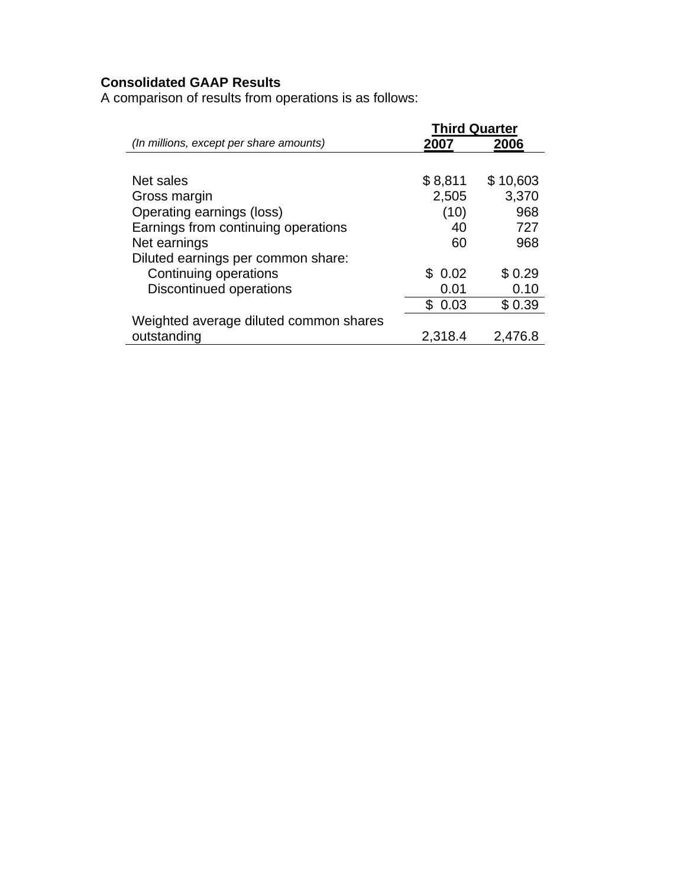## **Consolidated GAAP Results**

A comparison of results from operations is as follows:

|                                         | <b>Third Quarter</b> |          |
|-----------------------------------------|----------------------|----------|
| (In millions, except per share amounts) | 2007                 | 2006     |
|                                         |                      |          |
| Net sales                               | \$8,811              | \$10,603 |
| Gross margin                            | 2,505                | 3,370    |
| Operating earnings (loss)               | (10)                 | 968      |
| Earnings from continuing operations     | 40                   | 727      |
| Net earnings                            | 60                   | 968      |
| Diluted earnings per common share:      |                      |          |
| Continuing operations                   | \$0.02               | \$0.29   |
| Discontinued operations                 | 0.01                 | 0.10     |
|                                         | 0.03<br>S            | \$0.39   |
| Weighted average diluted common shares  |                      |          |
| outstanding                             | 2,318.4              | 2,476.8  |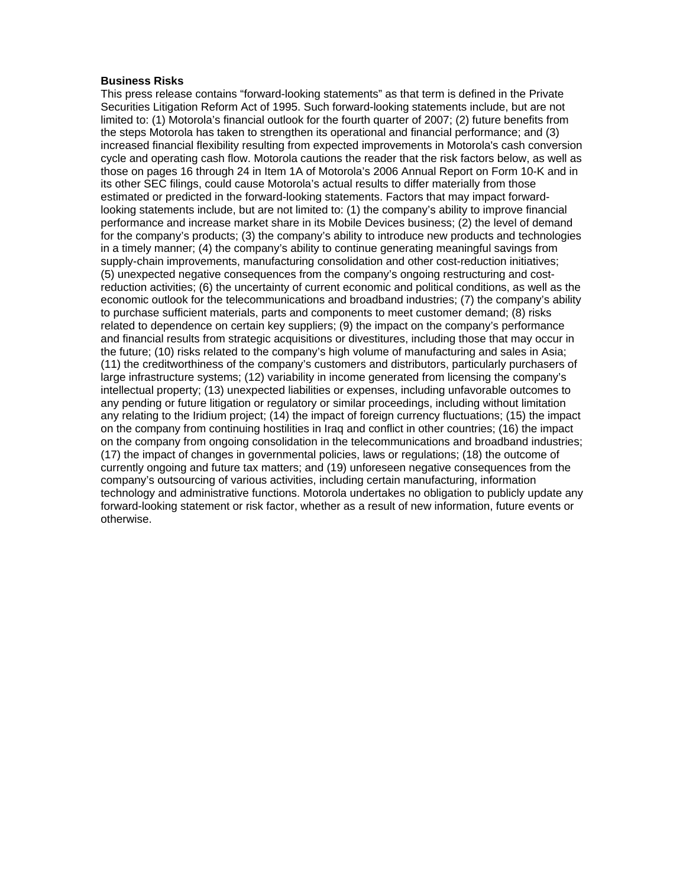#### **Business Risks**

This press release contains "forward-looking statements" as that term is defined in the Private Securities Litigation Reform Act of 1995. Such forward-looking statements include, but are not limited to: (1) Motorola's financial outlook for the fourth quarter of 2007; (2) future benefits from the steps Motorola has taken to strengthen its operational and financial performance; and (3) increased financial flexibility resulting from expected improvements in Motorola's cash conversion cycle and operating cash flow. Motorola cautions the reader that the risk factors below, as well as those on pages 16 through 24 in Item 1A of Motorola's 2006 Annual Report on Form 10-K and in its other SEC filings, could cause Motorola's actual results to differ materially from those estimated or predicted in the forward-looking statements. Factors that may impact forwardlooking statements include, but are not limited to: (1) the company's ability to improve financial performance and increase market share in its Mobile Devices business; (2) the level of demand for the company's products; (3) the company's ability to introduce new products and technologies in a timely manner; (4) the company's ability to continue generating meaningful savings from supply-chain improvements, manufacturing consolidation and other cost-reduction initiatives; (5) unexpected negative consequences from the company's ongoing restructuring and costreduction activities; (6) the uncertainty of current economic and political conditions, as well as the economic outlook for the telecommunications and broadband industries; (7) the company's ability to purchase sufficient materials, parts and components to meet customer demand; (8) risks related to dependence on certain key suppliers; (9) the impact on the company's performance and financial results from strategic acquisitions or divestitures, including those that may occur in the future; (10) risks related to the company's high volume of manufacturing and sales in Asia; (11) the creditworthiness of the company's customers and distributors, particularly purchasers of large infrastructure systems; (12) variability in income generated from licensing the company's intellectual property; (13) unexpected liabilities or expenses, including unfavorable outcomes to any pending or future litigation or regulatory or similar proceedings, including without limitation any relating to the Iridium project; (14) the impact of foreign currency fluctuations; (15) the impact on the company from continuing hostilities in Iraq and conflict in other countries; (16) the impact on the company from ongoing consolidation in the telecommunications and broadband industries; (17) the impact of changes in governmental policies, laws or regulations; (18) the outcome of currently ongoing and future tax matters; and (19) unforeseen negative consequences from the company's outsourcing of various activities, including certain manufacturing, information technology and administrative functions. Motorola undertakes no obligation to publicly update any forward-looking statement or risk factor, whether as a result of new information, future events or otherwise.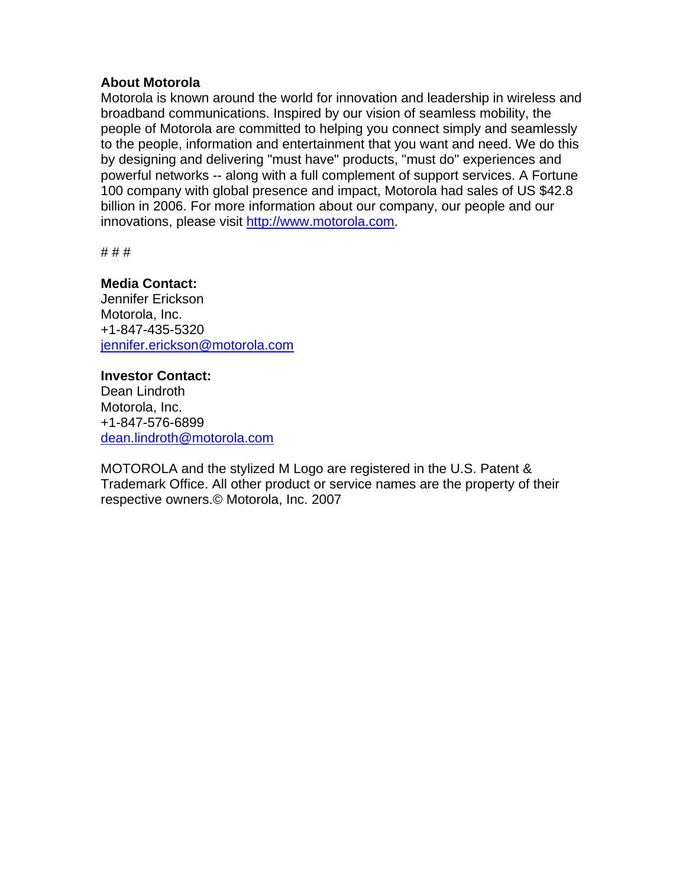### **About Motorola**

Motorola is known around the world for innovation and leadership in wireless and broadband communications. Inspired by our vision of seamless mobility, the people of Motorola are committed to helping you connect simply and seamlessly to the people, information and entertainment that you want and need. We do this by designing and delivering "must have" products, "must do" experiences and powerful networks -- along with a full complement of support services. A Fortune 100 company with global presence and impact, Motorola had sales of US \$42.8 billion in 2006. For more information about our company, our people and our innovations, please visit http://www.motorola.com.

# # #

## **Media Contact:**

Jennifer Erickson Motorola, Inc. +1-847-435-5320 jennifer.erickson@motorola.com

### **Investor Contact:**

Dean Lindroth Motorola, Inc. +1-847-576-6899 dean.lindroth@motorola.com

MOTOROLA and the stylized M Logo are registered in the U.S. Patent & Trademark Office. All other product or service names are the property of their respective owners.© Motorola, Inc. 2007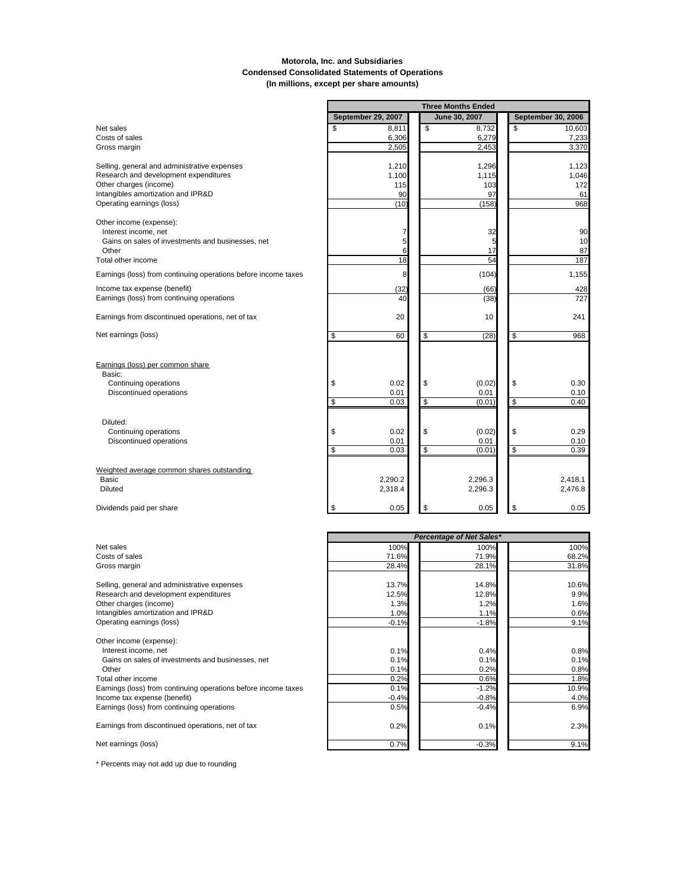#### **Motorola, Inc. and Subsidiaries Condensed Consolidated Statements of Operations (In millions, except per share amounts)**

|                                                                           | <b>Three Months Ended</b> |                                 |                    |  |  |
|---------------------------------------------------------------------------|---------------------------|---------------------------------|--------------------|--|--|
|                                                                           | September 29, 2007        | June 30, 2007                   | September 30, 2006 |  |  |
| Net sales                                                                 | \$<br>8,811               | \$<br>8,732                     | \$<br>10,603       |  |  |
| Costs of sales<br>Gross margin                                            | 6,306                     | 6,279                           | 7,233              |  |  |
|                                                                           | 2,505                     | 2,453                           | 3,370              |  |  |
| Selling, general and administrative expenses                              | 1,210                     | 1,296                           | 1,123              |  |  |
| Research and development expenditures                                     | 1,100                     | 1,115                           | 1,046              |  |  |
| Other charges (income)                                                    | 115                       | 103                             | 172                |  |  |
| Intangibles amortization and IPR&D<br>Operating earnings (loss)           | 90<br>(10)                | 97<br>(158)                     | 61<br>968          |  |  |
|                                                                           |                           |                                 |                    |  |  |
| Other income (expense):                                                   |                           |                                 |                    |  |  |
| Interest income, net                                                      | 7                         | 32                              | 90                 |  |  |
| Gains on sales of investments and businesses, net<br>Other                | 5<br>6                    | 5<br>17                         | 10                 |  |  |
| Total other income                                                        | 18                        | 54                              | 87<br>187          |  |  |
|                                                                           | 8                         |                                 |                    |  |  |
| Earnings (loss) from continuing operations before income taxes            |                           | (104)                           | 1,155              |  |  |
| Income tax expense (benefit)                                              | (32)                      | (66)                            | 428                |  |  |
| Earnings (loss) from continuing operations                                | 40                        | (38)                            | 727                |  |  |
| Earnings from discontinued operations, net of tax                         | 20                        | 10                              | 241                |  |  |
| Net earnings (loss)                                                       | \$<br>60                  | \$<br>(28)                      | \$<br>968          |  |  |
|                                                                           |                           |                                 |                    |  |  |
| Earnings (loss) per common share                                          |                           |                                 |                    |  |  |
| Basic:<br>Continuing operations                                           | \$<br>0.02                | \$<br>(0.02)                    | \$<br>0.30         |  |  |
| Discontinued operations                                                   | 0.01                      | 0.01                            | 0.10               |  |  |
|                                                                           | \$<br>0.03                | \$<br>(0.01)                    | 0.40<br>\$         |  |  |
|                                                                           |                           |                                 |                    |  |  |
| Diluted:<br>Continuing operations                                         | \$<br>0.02                | \$<br>(0.02)                    | \$<br>0.29         |  |  |
| Discontinued operations                                                   | 0.01                      | 0.01                            | 0.10               |  |  |
|                                                                           | \$<br>0.03                | \$<br>(0.01)                    | \$<br>0.39         |  |  |
| Weighted average common shares outstanding                                |                           |                                 |                    |  |  |
| Basic                                                                     | 2,290.2                   | 2,296.3                         | 2,418.1            |  |  |
| <b>Diluted</b>                                                            | 2,318.4                   | 2,296.3                         | 2,476.8            |  |  |
| Dividends paid per share                                                  | \$<br>0.05                | \$<br>0.05                      | \$<br>0.05         |  |  |
|                                                                           |                           |                                 |                    |  |  |
|                                                                           |                           | <b>Percentage of Net Sales*</b> |                    |  |  |
| Net sales                                                                 | 100%                      | 100%                            | 100%               |  |  |
| Costs of sales<br>Gross margin                                            | 71.6%<br>28.4%            | 71.9%<br>28.1%                  | 68.2%<br>31.8%     |  |  |
|                                                                           |                           |                                 |                    |  |  |
| Selling, general and administrative expenses                              | 13.7%                     | 14.8%                           | 10.6%              |  |  |
| Research and development expenditures                                     | 12.5%                     | 12.8%                           | 9.9%               |  |  |
| Other charges (income)<br>Intangibles amortization and IPR&D              | 1.3%<br>1.0%              | 1.2%<br>1.1%                    | 1.6%<br>0.6%       |  |  |
| Operating earnings (loss)                                                 | $-0.1%$                   | $-1.8%$                         | 9.1%               |  |  |
|                                                                           |                           |                                 |                    |  |  |
| Other income (expense):                                                   |                           |                                 |                    |  |  |
| Interest income, net<br>Gains on sales of investments and businesses, net | 0.1%<br>0.1%              | 0.4%<br>0.1%                    | 0.8%<br>0.1%       |  |  |
| Other                                                                     | 0.1%                      | 0.2%                            | 0.8%               |  |  |
| Total other income                                                        | 0.2%                      | 0.6%                            | 1.8%               |  |  |
| Earnings (loss) from continuing operations before income taxes            | 0.1%                      | $-1.2%$                         | 10.9%              |  |  |
| Income tax expense (benefit)                                              | $-0.4%$                   | $-0.8%$                         | 4.0%               |  |  |
| Earnings (loss) from continuing operations                                | 0.5%                      | $-0.4%$                         | 6.9%               |  |  |
| Earnings from discontinued operations, net of tax                         | 0.2%                      | 0.1%                            | 2.3%               |  |  |

Net earnings (loss) 8.1% 0.7% -0.3% -0.3% 9.1%

\* Percents may not add up due to rounding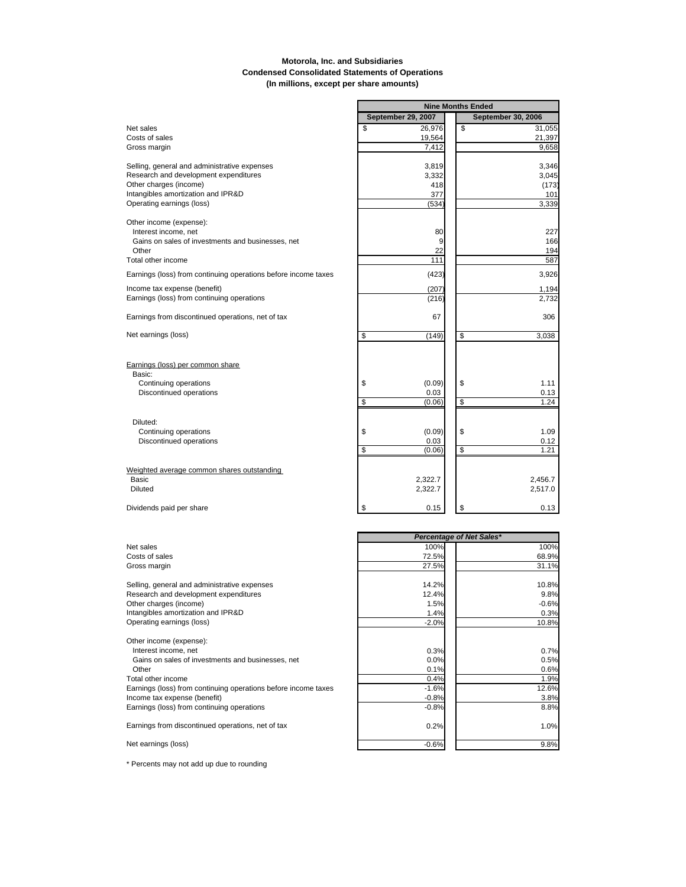#### **Motorola, Inc. and Subsidiaries Condensed Consolidated Statements of Operations (In millions, except per share amounts)**

Г

|                                                                                                            |                                      | 1111C 11191113 111900            |  |
|------------------------------------------------------------------------------------------------------------|--------------------------------------|----------------------------------|--|
|                                                                                                            | September 29, 2007                   | September 30, 2006               |  |
| Net sales                                                                                                  | \$<br>26,976                         | \$<br>31,055                     |  |
| Costs of sales                                                                                             | 19,564                               | 21,397                           |  |
| Gross margin                                                                                               | 7,412                                | 9,658                            |  |
|                                                                                                            |                                      |                                  |  |
| Selling, general and administrative expenses                                                               | 3,819                                | 3,346                            |  |
| Research and development expenditures                                                                      | 3,332                                | 3,045                            |  |
| Other charges (income)                                                                                     | 418                                  | (173)                            |  |
| Intangibles amortization and IPR&D                                                                         | 377                                  | 101                              |  |
| Operating earnings (loss)                                                                                  | (534)                                | 3,339                            |  |
|                                                                                                            |                                      |                                  |  |
| Other income (expense):                                                                                    |                                      |                                  |  |
| Interest income, net                                                                                       | 80                                   | 227                              |  |
| Gains on sales of investments and businesses, net                                                          |                                      | 9<br>166                         |  |
| Other                                                                                                      | 22                                   | 194                              |  |
| Total other income                                                                                         | 111                                  | 587                              |  |
|                                                                                                            |                                      |                                  |  |
| Earnings (loss) from continuing operations before income taxes                                             | (423)                                | 3,926                            |  |
| Income tax expense (benefit)                                                                               | (207)                                | 1,194                            |  |
| Earnings (loss) from continuing operations                                                                 | (216)                                | 2,732                            |  |
| Earnings from discontinued operations, net of tax                                                          | 67                                   | 306                              |  |
|                                                                                                            |                                      |                                  |  |
| Net earnings (loss)                                                                                        | \$<br>(149)                          | \$<br>3,038                      |  |
| Earnings (loss) per common share<br>Basic:<br>Continuing operations<br>Discontinued operations<br>Diluted: | \$<br>(0.09)<br>0.03<br>\$<br>(0.06) | \$<br>1.11<br>0.13<br>\$<br>1.24 |  |
| Continuing operations                                                                                      | \$<br>(0.09)                         | \$<br>1.09                       |  |
| Discontinued operations                                                                                    | 0.03                                 | 0.12                             |  |
|                                                                                                            | \$<br>(0.06)                         | \$<br>1.21                       |  |
| Weighted average common shares outstanding<br>Basic<br><b>Diluted</b>                                      | 2,322.7<br>2,322.7                   | 2,456.7<br>2,517.0               |  |
| Dividends paid per share                                                                                   | \$<br>0.15                           | \$<br>0.13                       |  |
|                                                                                                            |                                      |                                  |  |
|                                                                                                            | <b>Percentage of Net Sales*</b>      |                                  |  |
| Net sales                                                                                                  | 100%                                 | 100%                             |  |
| Costs of sales                                                                                             | 72.5%                                | 68.9%                            |  |
| Gross margin                                                                                               | 27.5%                                | 31.1%                            |  |

|                                                                |         | Percentage of Net Sales* |  |  |
|----------------------------------------------------------------|---------|--------------------------|--|--|
| Net sales                                                      | 100%    | 100%                     |  |  |
| Costs of sales                                                 | 72.5%   | 68.9%                    |  |  |
| Gross margin                                                   | 27.5%   | 31.1%                    |  |  |
| Selling, general and administrative expenses                   | 14.2%   | 10.8%                    |  |  |
| Research and development expenditures                          | 12.4%   | 9.8%                     |  |  |
| Other charges (income)                                         | 1.5%    | $-0.6%$                  |  |  |
| Intangibles amortization and IPR&D                             | 1.4%    | 0.3%                     |  |  |
| Operating earnings (loss)                                      | $-2.0%$ | 10.8%                    |  |  |
| Other income (expense):                                        |         |                          |  |  |
| Interest income, net                                           | 0.3%    | 0.7%                     |  |  |
| Gains on sales of investments and businesses, net              | 0.0%    | 0.5%                     |  |  |
| Other                                                          | 0.1%    | 0.6%                     |  |  |
| Total other income                                             | 0.4%    | 1.9%                     |  |  |
| Earnings (loss) from continuing operations before income taxes | $-1.6%$ | 12.6%                    |  |  |
| Income tax expense (benefit)                                   | $-0.8%$ | 3.8%                     |  |  |
| Earnings (loss) from continuing operations                     | $-0.8%$ | 8.8%                     |  |  |
| Earnings from discontinued operations, net of tax              | 0.2%    | 1.0%                     |  |  |
| Net earnings (loss)                                            | $-0.6%$ | 9.8%                     |  |  |

**Nine Months Ended**

\* Percents may not add up due to rounding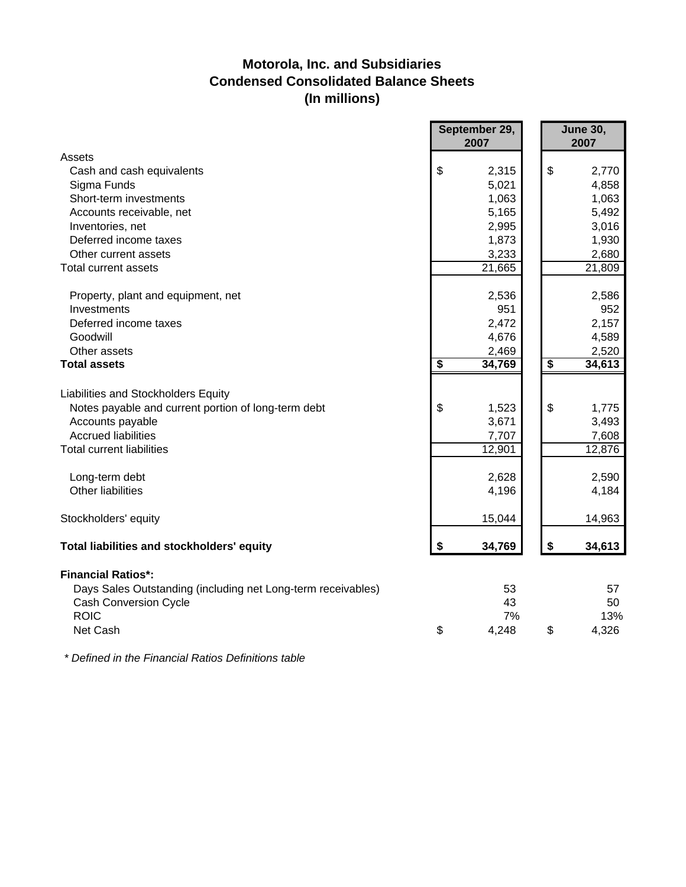## **Motorola, Inc. and Subsidiaries Condensed Consolidated Balance Sheets (In millions)**

|                                                              | September 29,<br>2007 |        |    |        |  | <b>June 30,</b><br>2007 |
|--------------------------------------------------------------|-----------------------|--------|----|--------|--|-------------------------|
| Assets                                                       |                       |        |    |        |  |                         |
| Cash and cash equivalents                                    | \$                    | 2,315  | \$ | 2,770  |  |                         |
| Sigma Funds                                                  |                       | 5,021  |    | 4,858  |  |                         |
| Short-term investments                                       |                       | 1,063  |    | 1,063  |  |                         |
| Accounts receivable, net                                     |                       | 5,165  |    | 5,492  |  |                         |
| Inventories, net                                             |                       | 2,995  |    | 3,016  |  |                         |
| Deferred income taxes                                        |                       | 1,873  |    | 1,930  |  |                         |
| Other current assets                                         |                       | 3,233  |    | 2,680  |  |                         |
| <b>Total current assets</b>                                  |                       | 21,665 |    | 21,809 |  |                         |
| Property, plant and equipment, net                           |                       | 2,536  |    | 2,586  |  |                         |
| Investments                                                  |                       | 951    |    | 952    |  |                         |
| Deferred income taxes                                        |                       | 2,472  |    | 2,157  |  |                         |
| Goodwill                                                     |                       | 4,676  |    | 4,589  |  |                         |
| Other assets                                                 |                       | 2,469  |    | 2,520  |  |                         |
| <b>Total assets</b>                                          | \$                    | 34,769 | \$ | 34,613 |  |                         |
| Liabilities and Stockholders Equity                          |                       |        |    |        |  |                         |
| Notes payable and current portion of long-term debt          | \$                    | 1,523  | \$ | 1,775  |  |                         |
| Accounts payable                                             |                       | 3,671  |    | 3,493  |  |                         |
| <b>Accrued liabilities</b>                                   |                       | 7,707  |    | 7,608  |  |                         |
| <b>Total current liabilities</b>                             |                       | 12,901 |    | 12,876 |  |                         |
| Long-term debt                                               |                       | 2,628  |    | 2,590  |  |                         |
| <b>Other liabilities</b>                                     |                       | 4,196  |    | 4,184  |  |                         |
| Stockholders' equity                                         |                       | 15,044 |    | 14,963 |  |                         |
| Total liabilities and stockholders' equity                   | \$                    | 34,769 | \$ | 34,613 |  |                         |
| <b>Financial Ratios*:</b>                                    |                       |        |    |        |  |                         |
| Days Sales Outstanding (including net Long-term receivables) |                       | 53     |    | 57     |  |                         |
| <b>Cash Conversion Cycle</b>                                 |                       | 43     |    | 50     |  |                         |
| <b>ROIC</b>                                                  |                       | 7%     |    | 13%    |  |                         |
| Net Cash                                                     | \$                    | 4,248  | \$ | 4,326  |  |                         |

*\* Defined in the Financial Ratios Definitions table*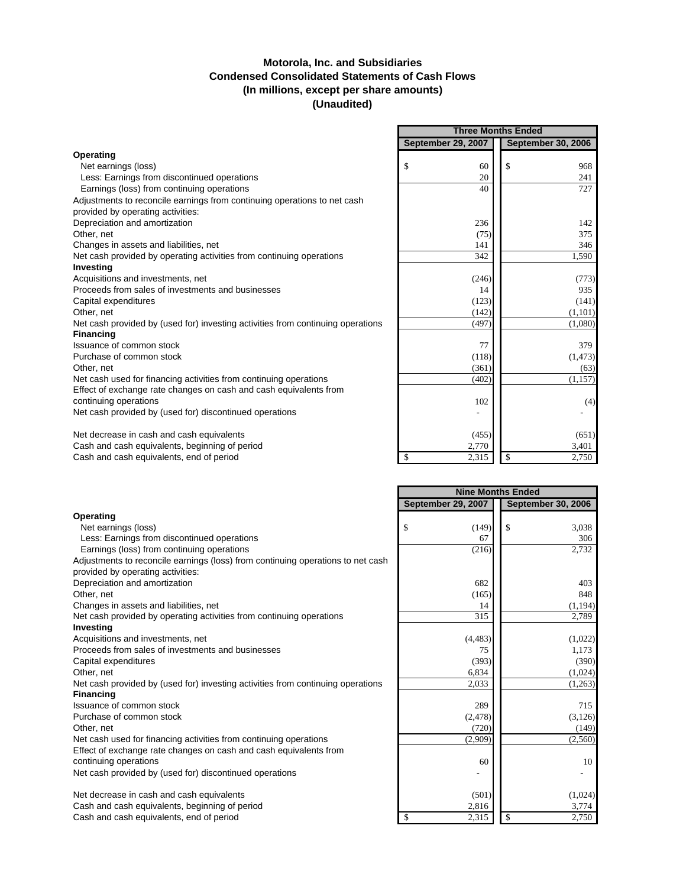### **(Unaudited) Motorola, Inc. and Subsidiaries Condensed Consolidated Statements of Cash Flows (In millions, except per share amounts)**

F

|                                                                                 | <b>Three Months Ended</b> |                           |  |
|---------------------------------------------------------------------------------|---------------------------|---------------------------|--|
|                                                                                 | September 29, 2007        | <b>September 30, 2006</b> |  |
| Operating                                                                       |                           |                           |  |
| Net earnings (loss)                                                             | \$<br>60                  | \$<br>968                 |  |
| Less: Earnings from discontinued operations                                     | 20                        | 241                       |  |
| Earnings (loss) from continuing operations                                      | 40                        | 727                       |  |
| Adjustments to reconcile earnings from continuing operations to net cash        |                           |                           |  |
| provided by operating activities:                                               |                           |                           |  |
| Depreciation and amortization                                                   | 236                       | 142                       |  |
| Other, net                                                                      | (75)                      | 375                       |  |
| Changes in assets and liabilities, net                                          | 141                       | 346                       |  |
| Net cash provided by operating activities from continuing operations            | 342                       | 1.590                     |  |
| Investing                                                                       |                           |                           |  |
| Acquisitions and investments, net                                               | (246)                     | (773)                     |  |
| Proceeds from sales of investments and businesses                               | 14                        | 935                       |  |
| Capital expenditures                                                            | (123)                     | (141)                     |  |
| Other, net                                                                      | (142)                     | (1,101)                   |  |
| Net cash provided by (used for) investing activities from continuing operations | (497)                     | (1,080)                   |  |
| <b>Financing</b>                                                                |                           |                           |  |
| Issuance of common stock                                                        | 77                        | 379                       |  |
| Purchase of common stock                                                        | (118)                     | (1, 473)                  |  |
| Other, net                                                                      | (361)                     | (63)                      |  |
| Net cash used for financing activities from continuing operations               | (402)                     | (1, 157)                  |  |
| Effect of exchange rate changes on cash and cash equivalents from               |                           |                           |  |
| continuing operations                                                           | 102                       | (4)                       |  |
| Net cash provided by (used for) discontinued operations                         |                           |                           |  |
| Net decrease in cash and cash equivalents                                       | (455)                     | (651)                     |  |
| Cash and cash equivalents, beginning of period                                  | 2,770                     | 3,401                     |  |
| Cash and cash equivalents, end of period                                        | \$<br>2,315               | \$<br>2,750               |  |

|                                                                                 | <b>Nine Months Ended</b> |                           |  |
|---------------------------------------------------------------------------------|--------------------------|---------------------------|--|
|                                                                                 | September 29, 2007       | <b>September 30, 2006</b> |  |
| Operating                                                                       |                          |                           |  |
| Net earnings (loss)                                                             | \$<br>(149)              | \$<br>3,038               |  |
| Less: Earnings from discontinued operations                                     | 67                       | 306                       |  |
| Earnings (loss) from continuing operations                                      | (216)                    | 2,732                     |  |
| Adjustments to reconcile earnings (loss) from continuing operations to net cash |                          |                           |  |
| provided by operating activities:                                               |                          |                           |  |
| Depreciation and amortization                                                   | 682                      | 403                       |  |
| Other, net                                                                      | (165)                    | 848                       |  |
| Changes in assets and liabilities, net                                          | 14                       | (1, 194)                  |  |
| Net cash provided by operating activities from continuing operations            | 315                      | 2,789                     |  |
| Investing                                                                       |                          |                           |  |
| Acquisitions and investments, net                                               | (4, 483)                 | (1,022)                   |  |
| Proceeds from sales of investments and businesses                               | 75                       | 1,173                     |  |
| Capital expenditures                                                            | (393)                    | (390)                     |  |
| Other, net                                                                      | 6,834                    | (1,024)                   |  |
| Net cash provided by (used for) investing activities from continuing operations | 2,033                    | (1,263)                   |  |
| <b>Financing</b>                                                                |                          |                           |  |
| Issuance of common stock                                                        | 289                      | 715                       |  |
| Purchase of common stock                                                        | (2, 478)                 | (3,126)                   |  |
| Other, net                                                                      | (720)                    | (149)                     |  |
| Net cash used for financing activities from continuing operations               | (2,909)                  | (2,560)                   |  |
| Effect of exchange rate changes on cash and cash equivalents from               |                          |                           |  |
| continuing operations                                                           | 60                       | 10                        |  |
| Net cash provided by (used for) discontinued operations                         |                          |                           |  |
| Net decrease in cash and cash equivalents                                       | (501)                    | (1,024)                   |  |
| Cash and cash equivalents, beginning of period                                  | 2,816                    | 3,774                     |  |
| Cash and cash equivalents, end of period                                        | 2,315<br>\$              | \$<br>2,750               |  |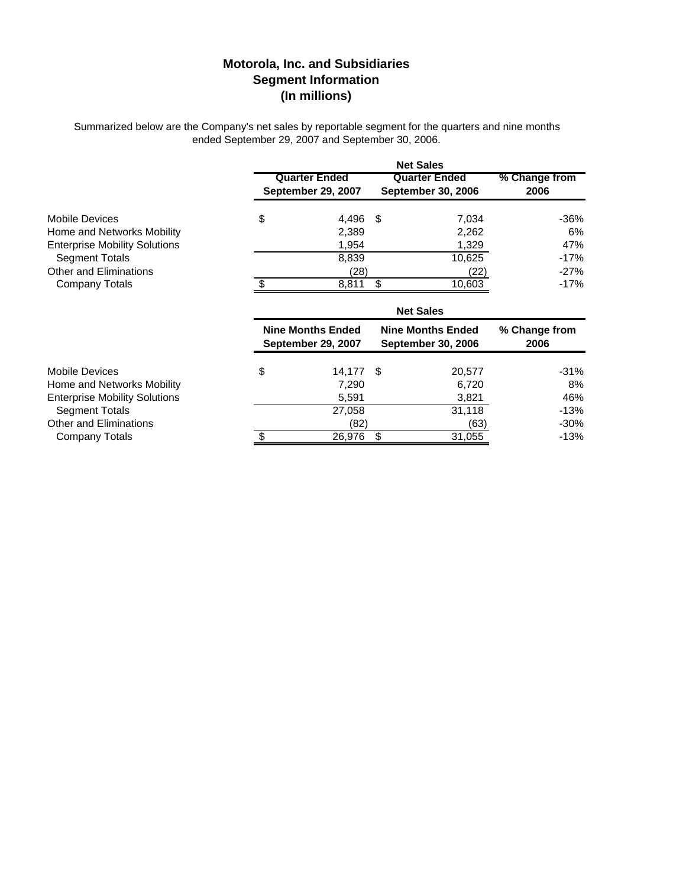## **Motorola, Inc. and Subsidiaries Segment Information (In millions)**

Summarized below are the Company's net sales by reportable segment for the quarters and nine months ended September 29, 2007 and September 30, 2006.

|                                                                    | <b>Net Sales</b>                                      |    |                                                       |                       |  |  |
|--------------------------------------------------------------------|-------------------------------------------------------|----|-------------------------------------------------------|-----------------------|--|--|
|                                                                    | <b>Quarter Ended</b><br>September 29, 2007            |    | <b>Quarter Ended</b><br><b>September 30, 2006</b>     | % Change from<br>2006 |  |  |
| <b>Mobile Devices</b>                                              | \$<br>4,496 \$                                        |    | 7,034                                                 | $-36%$                |  |  |
| Home and Networks Mobility<br><b>Enterprise Mobility Solutions</b> | 2,389<br>1,954                                        |    | 2,262<br>1,329                                        | 6%<br>47%             |  |  |
| Segment Totals<br><b>Other and Eliminations</b>                    | 8,839<br>(28)                                         |    | 10,625<br>(22)                                        | $-17%$<br>$-27%$      |  |  |
| Company Totals                                                     | \$<br>8,811                                           | \$ | 10,603                                                | $-17%$                |  |  |
|                                                                    | <b>Net Sales</b>                                      |    |                                                       |                       |  |  |
|                                                                    | <b>Nine Months Ended</b><br><b>September 29, 2007</b> |    | <b>Nine Months Ended</b><br><b>September 30, 2006</b> | % Change from<br>2006 |  |  |
| <b>Mobile Devices</b>                                              | \$<br>14,177 \$                                       |    | 20,577                                                | $-31%$                |  |  |
| Home and Networks Mobility                                         | 7,290                                                 |    | 6,720                                                 | 8%                    |  |  |
| <b>Enterprise Mobility Solutions</b>                               | 5,591                                                 |    | 3,821                                                 | 46%                   |  |  |
| Segment Totals                                                     | 27,058                                                |    | 31,118                                                | $-13%$                |  |  |
| <b>Other and Eliminations</b>                                      | (82)                                                  |    | (63)                                                  | $-30%$                |  |  |
| Company Totals                                                     | \$<br>26,976                                          | \$ | 31,055                                                | $-13%$                |  |  |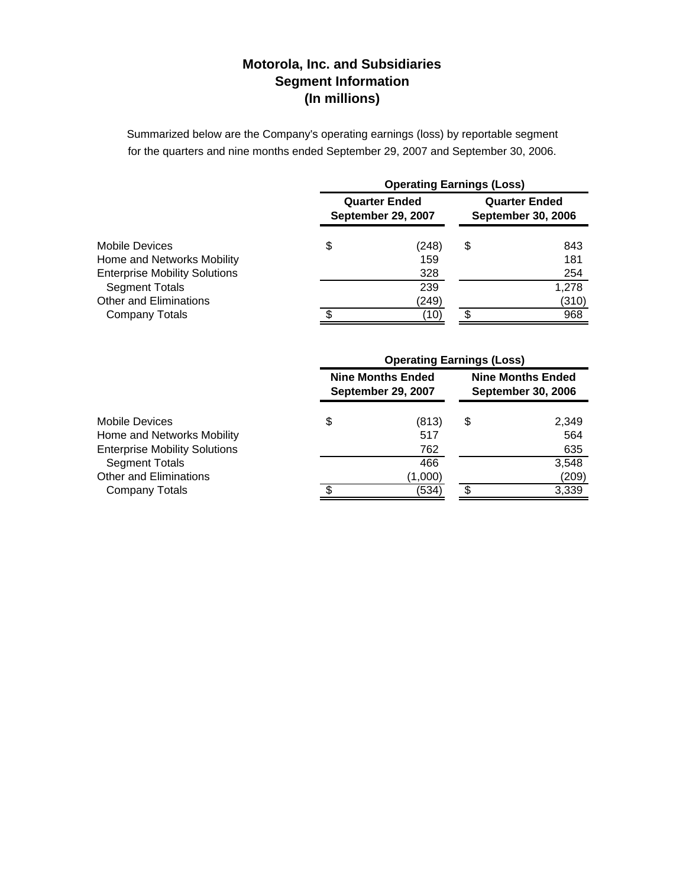## **(In millions) Motorola, Inc. and Subsidiaries Segment Information**

Summarized below are the Company's operating earnings (loss) by reportable segment for the quarters and nine months ended September 29, 2007 and September 30, 2006.

| <b>Mobile Devices</b>                | <b>Operating Earnings (Loss)</b>           |       |                                                   |       |
|--------------------------------------|--------------------------------------------|-------|---------------------------------------------------|-------|
|                                      | <b>Quarter Ended</b><br>September 29, 2007 |       | <b>Quarter Ended</b><br><b>September 30, 2006</b> |       |
|                                      | \$                                         | (248) | \$                                                | 843   |
| Home and Networks Mobility           |                                            | 159   |                                                   | 181   |
| <b>Enterprise Mobility Solutions</b> |                                            | 328   |                                                   | 254   |
| <b>Segment Totals</b>                |                                            | 239   |                                                   | 1,278 |
| <b>Other and Eliminations</b>        |                                            | (249) |                                                   | (310) |
| Company Totals                       |                                            | (10)  |                                                   | 968   |

| Mobile Devices                       | <b>Operating Earnings (Loss)</b>                      |         |                                                       |       |
|--------------------------------------|-------------------------------------------------------|---------|-------------------------------------------------------|-------|
|                                      | <b>Nine Months Ended</b><br><b>September 29, 2007</b> |         | <b>Nine Months Ended</b><br><b>September 30, 2006</b> |       |
|                                      | \$                                                    | (813)   | \$                                                    | 2,349 |
| Home and Networks Mobility           |                                                       | 517     |                                                       | 564   |
| <b>Enterprise Mobility Solutions</b> |                                                       | 762     |                                                       | 635   |
| <b>Segment Totals</b>                |                                                       | 466     |                                                       | 3,548 |
| <b>Other and Eliminations</b>        |                                                       | (1,000) |                                                       | (209) |
| Company Totals                       |                                                       | (534)   | \$                                                    | 3,339 |